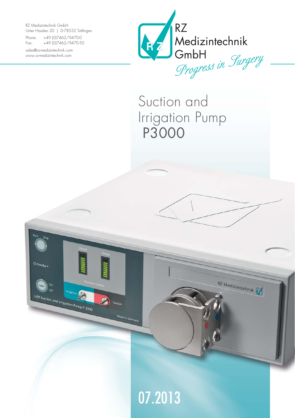RZ Medizintechnik GmbH Unter Hasslen 20 | D-78532 Tuttlingen

Phone: +49 (0)7462/9470-0 Fax: +49 (0)7462/9470-50

sales@rz-medizintechnik.com www.rz-medizintechnik.com



Suction and Irrigation Pump P3000

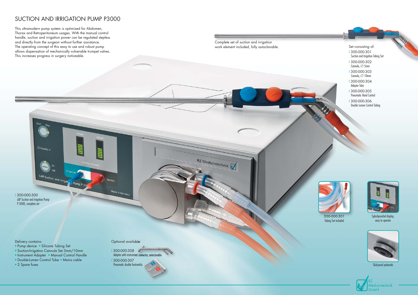## SUCTION AND IRRIGATION PUMP P3000

This ultramodern pump system is optimized for Abdomen, Thorax and Retroperitoneum usages. With the manual control handle, suction and irrigation power can be regulated stepless and directly from the surgeon without further assistance. The operating concept of this easy to use and robust pump allows dispensation of mechanically vulnerable trumpet valves. This increases progress in surgery noticeable.



Skid-proof pedestals



Complete set of suction and irrigation work element included, fully autoclavable.  $\blacksquare$  Set consisting of:

RZ Medizintechnik



Splashproofed display, easy to operate



300-000-301 Tubing Set included

I 300-000-300 LAP Suction and Irrigation Pump P 3000, complete set

Delivery contains:

• Pump device • Silicone Tubing Set

 $\circ$  Standby  $\bullet$ 

LAP Suction and Irrigat Pump P 30

- Suction-Irrigation Cannula Set 5mm/10mm
- Instrument Adapter Manual Control Handle
- Double-Lumen Control Tube Mains cable
- 2 Spare fuses

Optional available:

Made in Germany

I 300-000-308 Adapter with instrument connector, autoclavable I 300-000-307 Pneumatic double footswitch

- I 300-000-301 Suction and Irrigation Tubing Set
- I 300-000-302 Cannula, Ø 5mm
- I 300-000-303 Cannula, Ø 10mm
- I 300-000-304 Adapter Tube
- I 300-000-305 Pneumatic Hand Control
- I 300-000-306 Double Lumen Control Tubing